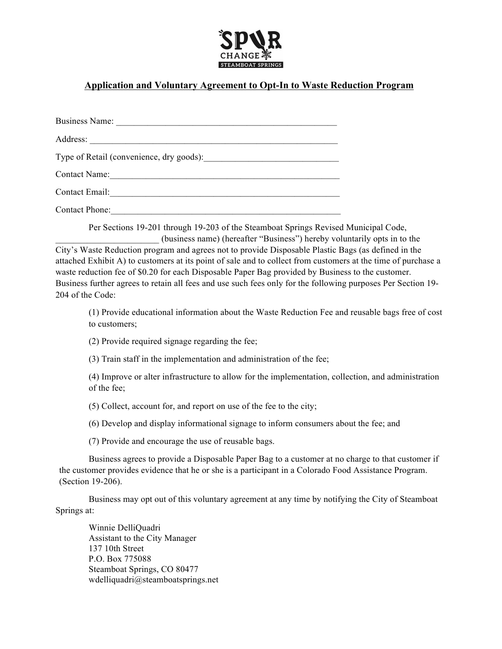

# **Application and Voluntary Agreement to Opt-In to Waste Reduction Program**

| <b>Business Name:</b>                    |
|------------------------------------------|
| Address:                                 |
| Type of Retail (convenience, dry goods): |
| Contact Name:                            |
| Contact Email:                           |
| <b>Contact Phone:</b>                    |

Per Sections 19-201 through 19-203 of the Steamboat Springs Revised Municipal Code, \_\_\_\_\_\_\_\_\_\_\_\_\_\_\_\_\_\_\_\_\_\_\_ (business name) (hereafter "Business") hereby voluntarily opts in to the City's Waste Reduction program and agrees not to provide Disposable Plastic Bags (as defined in the

attached Exhibit A) to customers at its point of sale and to collect from customers at the time of purchase a waste reduction fee of \$0.20 for each Disposable Paper Bag provided by Business to the customer. Business further agrees to retain all fees and use such fees only for the following purposes Per Section 19- 204 of the Code:

(1) Provide educational information about the Waste Reduction Fee and reusable bags free of cost to customers;

(2) Provide required signage regarding the fee;

(3) Train staff in the implementation and administration of the fee;

(4) Improve or alter infrastructure to allow for the implementation, collection, and administration of the fee;

(5) Collect, account for, and report on use of the fee to the city;

(6) Develop and display informational signage to inform consumers about the fee; and

(7) Provide and encourage the use of reusable bags.

Business agrees to provide a Disposable Paper Bag to a customer at no charge to that customer if the customer provides evidence that he or she is a participant in a Colorado Food Assistance Program. (Section 19-206).

Business may opt out of this voluntary agreement at any time by notifying the City of Steamboat Springs at:

Winnie DelliQuadri Assistant to the City Manager 137 10th Street P.O. Box 775088 Steamboat Springs, CO 80477 wdelliquadri@steamboatsprings.net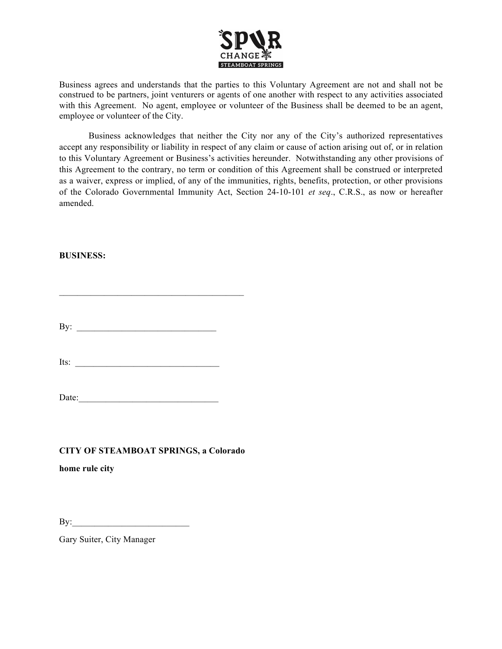

Business agrees and understands that the parties to this Voluntary Agreement are not and shall not be construed to be partners, joint venturers or agents of one another with respect to any activities associated with this Agreement. No agent, employee or volunteer of the Business shall be deemed to be an agent, employee or volunteer of the City.

Business acknowledges that neither the City nor any of the City's authorized representatives accept any responsibility or liability in respect of any claim or cause of action arising out of, or in relation to this Voluntary Agreement or Business's activities hereunder. Notwithstanding any other provisions of this Agreement to the contrary, no term or condition of this Agreement shall be construed or interpreted as a waiver, express or implied, of any of the immunities, rights, benefits, protection, or other provisions of the Colorado Governmental Immunity Act, Section 24-10-101 *et seq*., C.R.S., as now or hereafter amended.

### **BUSINESS:**

By:  $\Box$ 

 $\mathcal{L}_\text{max} = \mathcal{L}_\text{max} = \mathcal{L}_\text{max} = \mathcal{L}_\text{max} = \mathcal{L}_\text{max} = \mathcal{L}_\text{max}$ 

Its:  $\frac{1}{2}$ 

Date:\_\_\_\_\_\_\_\_\_\_\_\_\_\_\_\_\_\_\_\_\_\_\_\_\_\_\_\_\_\_\_

## **CITY OF STEAMBOAT SPRINGS, a Colorado**

**home rule city**

By:

Gary Suiter, City Manager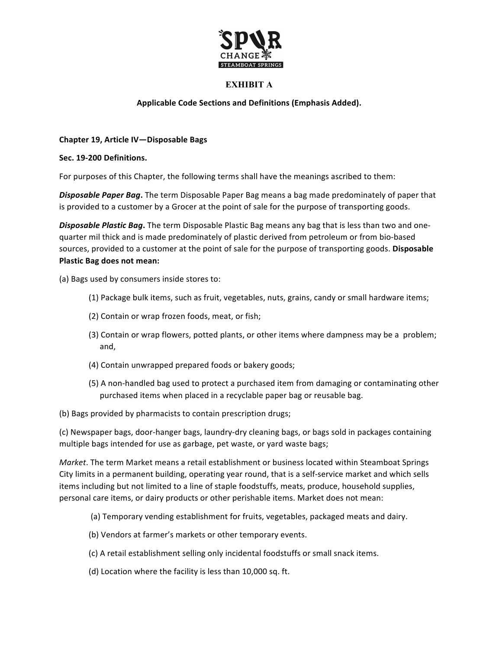

# **EXHIBIT A**

### **Applicable Code Sections and Definitions (Emphasis Added).**

#### **Chapter 19, Article IV—Disposable Bags**

#### **Sec. 19-200 Definitions.**

For purposes of this Chapter, the following terms shall have the meanings ascribed to them:

**Disposable Paper Bag.** The term Disposable Paper Bag means a bag made predominately of paper that is provided to a customer by a Grocer at the point of sale for the purpose of transporting goods.

**Disposable Plastic Bag.** The term Disposable Plastic Bag means any bag that is less than two and onequarter mil thick and is made predominately of plastic derived from petroleum or from bio-based sources, provided to a customer at the point of sale for the purpose of transporting goods. Disposable **Plastic Bag does not mean:** 

(a) Bags used by consumers inside stores to:

- (1) Package bulk items, such as fruit, vegetables, nuts, grains, candy or small hardware items;
- (2) Contain or wrap frozen foods, meat, or fish;
- (3) Contain or wrap flowers, potted plants, or other items where dampness may be a problem; and,
- (4) Contain unwrapped prepared foods or bakery goods;
- (5) A non-handled bag used to protect a purchased item from damaging or contaminating other purchased items when placed in a recyclable paper bag or reusable bag.
- (b) Bags provided by pharmacists to contain prescription drugs;

(c) Newspaper bags, door-hanger bags, laundry-dry cleaning bags, or bags sold in packages containing multiple bags intended for use as garbage, pet waste, or yard waste bags;

*Market*. The term Market means a retail establishment or business located within Steamboat Springs City limits in a permanent building, operating year round, that is a self-service market and which sells items including but not limited to a line of staple foodstuffs, meats, produce, household supplies, personal care items, or dairy products or other perishable items. Market does not mean:

- (a) Temporary vending establishment for fruits, vegetables, packaged meats and dairy.
- (b) Vendors at farmer's markets or other temporary events.
- (c) A retail establishment selling only incidental foodstuffs or small snack items.
- (d) Location where the facility is less than 10,000 sq. ft.